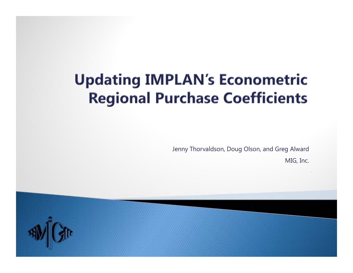### **Updating IMPLAN's Econometric Regional Purchase Coefficients**

Jenny Thorvaldson, Doug Olson, and Greg Alward

MIG, Inc.

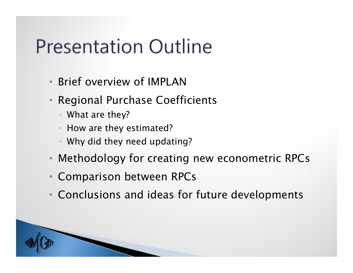## **Presentation Outline**

- •*Brief overview of IMPLAN*
- • *Regional Purchase Coefficients*
	- *What are they?*
	- *How are they estimated?*
	- *Why did they need updating?*
- *Methodology for creating new econometric RPCs*
- •*Comparison between RPCs*
- •*Conclusions and ideas for future developments*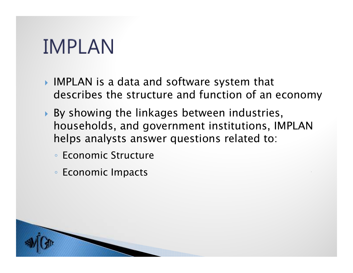## **IMPLAN**

- *IMPLAN is a data and software system that describes the structure and function of an economy*
- *By showing the linkages between industries, households, and government institutions, IMPLAN helps analysts answer questions related to:*
	- *Economic Structure*
	- *Economic Impacts*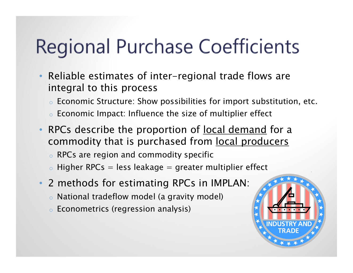# Regional Purchase Coefficients

- • *Reliable estimates of inter-regional trade flows areintegral to this process*
	- o *Economic Structure: Show possibilities for import substitution, etc.*
	- o *Economic Impact: Influence the size of multiplier effect*
- • *RPCs describe the proportion of local demand for a commodity that is purchased from local producers*
	- o *RPCs are region and commodity specific*
	- o *Higher RPCs = less leakage = greater multiplier effect*
- • *2 methods for estimating RPCs in IMPLAN:*
	- o *National tradeflow model (a gravity model)*
	- o *Econometrics (regression analysis)*

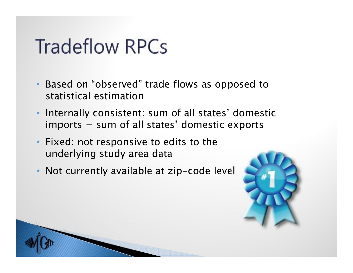## **Tradeflow RPCs**

- • *Based on "observed" trade flows as opposed to statistical estimation*
- • *Internally consistent: sum of all states' domestic imports = sum of all states' domestic exports*
- *Fixed: not responsive to edits to the underlying study area data*
- *Not currently available at zip-code level*

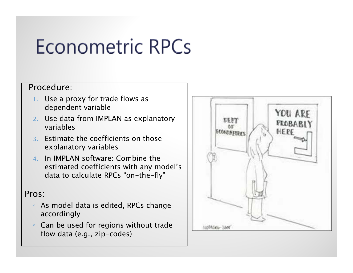# **Econometric RPCs**

#### *Procedure:*

- *1. Use a proxy for trade flows as dependent variable*
- *2. Use data from IMPLAN as explanatory variables*
- *3. Estimate the coefficients on those explanatory variables*
- *4. In IMPLAN software: Combine the estimated coefficients with any model's data to calculate RPCs "on-the-fly"*

#### *Pros:*

- $^{\circ}$  *As model data is edited, RPCs change accordingly*
- *Can be used for regions without trade flow data (e.g., zip-codes)*

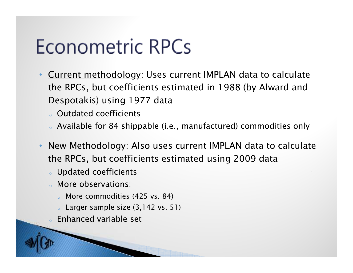# **Econometric RPCs**

- • *Current methodology: Uses current IMPLAN data to calculate the RPCs, but coefficients estimated in 1988 (by Alward and Despotakis) using 1977 data*
	- o *Outdated coefficients*
	- $_{\circ}\,$  Available for 84 shippable (i.e., manufactured) commodities only
- • *New Methodology: Also uses current IMPLAN data to calculate the RPCs, but coefficients estimated using 2009 data*
	- o *Updated coefficients*
	- *More observations:*
		- o *More commodities (425 vs. 84)*
		- o *Larger sample size (3,142 vs. 51)*
	- *Enhanced variable set*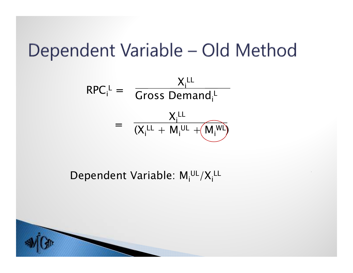## Dependent Variable - Old Method

$$
RPC_{i}^{L} = \frac{X_{i}^{LL}}{Gross Demand_{i}^{L}}
$$

$$
= \frac{X_{i}^{LL}}{(X_{i}^{LL} + M_{i}^{UL} + (M_{i}^{WL}))}
$$

*Dependent Variable: MiUL/XiLL*

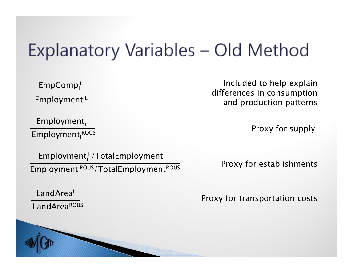## Explanatory Variables - Old Method

*EmpCompi<sup>L</sup> Employmenti<sup>L</sup>*

*EmploymentiROUS*

*EmploymentiROUS/TotalEmploymentROUS Employment<sub>i</sub>*<sup>L</sup>/TotalEmployment<sup>L</sup> *Proxy* for establishments

*LandAreaROUSLandAreaL*

*Included to help explain differences in consumption and production patterns*

*Employment<sub>i</sub>*<sup>L</sup> *Proxy for supply* 

*Proxy for transportation costs*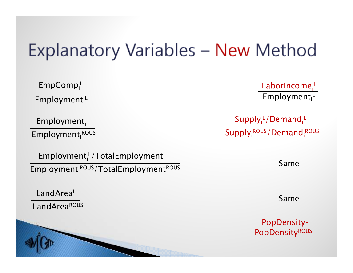## Explanatory Variables - New Method

*EmpCompi<sup>L</sup> Employmenti<sup>L</sup>*

*Employmenti<sup>L</sup>*

*EmploymentiROUS*

*EmploymentiROUS/TotalEmploymentROUS Employmenti<sup>L</sup>/TotalEmployment<sup>L</sup>*

*LandAreaROUS LandAreaL*



*LaborIncomei<sup>L</sup> Employmenti<sup>L</sup>*

*Supplyi<sup>L</sup>/Demandi<sup>L</sup> SupplyiROUS/DemandiROUS*

*Same*

*Same*

*PopDensityROUS PopDensity<sup>L</sup>*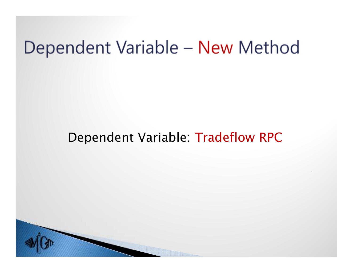### Dependent Variable - New Method

#### *Dependent Variable: Tradeflow RPC*

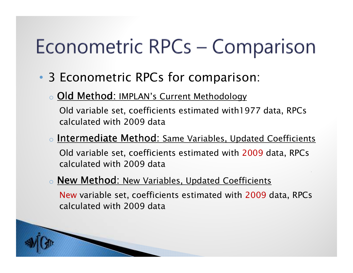# Econometric RPCs – Comparison

- • *3 Econometric RPCs for comparison:*
	- o*Old Method: IMPLAN's Current Methodology*

*Old variable set, coefficients estimated with1977 data, RPCs calculated with 2009 data*

o *Intermediate Method: Same Variables, Updated Coefficients Old variable set, coefficients estimated with 2009 data, RPCs* 

*calculated with 2009 data*

#### o*New Method: New Variables, Updated Coefficients*

*New variable set, coefficients estimated with 2009 data, RPCs calculated with 2009 data*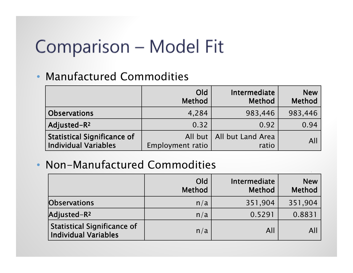## Comparison - Model Fit

#### • *Manufactured Commodities*

|                                                                   | Old<br><b>Method</b> | Intermediate<br><b>Method</b>        | <b>New</b><br><b>Method</b> |
|-------------------------------------------------------------------|----------------------|--------------------------------------|-----------------------------|
| <b>Observations</b>                                               | 4,284                | 983,446                              | 983,446                     |
| Adjusted-R <sup>2</sup>                                           | 0.32                 | 0.92                                 | 0.94                        |
| <b>Statistical Significance of</b><br><b>Individual Variables</b> | Employment ratio     | All but   All but Land Area<br>ratio | All                         |

#### • *Non-Manufactured Commodities*

|                                                                   | Old<br><b>Method</b> | Intermediate<br><b>Method</b> | <b>New</b><br><b>Method</b> |
|-------------------------------------------------------------------|----------------------|-------------------------------|-----------------------------|
| <b>Observations</b>                                               | n/a                  | 351,904                       | 351,904                     |
| Adjusted-R <sup>2</sup>                                           | n/a                  | 0.5291                        | 0.8831                      |
| <b>Statistical Significance of</b><br><b>Individual Variables</b> | n/a                  | All                           | Al                          |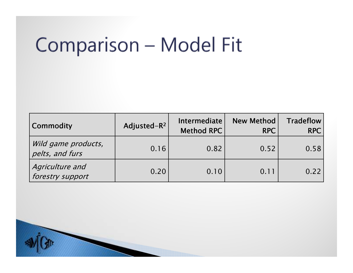# Comparison - Model Fit

| Commodity                              | Adjusted-R <sup>2</sup> | <b>Intermediate</b><br>Method RPC | <b>New Method</b><br><b>RPC</b> | <b>Tradeflow</b><br><b>RPC</b> |
|----------------------------------------|-------------------------|-----------------------------------|---------------------------------|--------------------------------|
| Wild game products,<br>pelts, and furs | 0.16                    | 0.82                              | 0.52                            | 0.58                           |
| Agriculture and<br>forestry support    | 0.20                    | 0.10                              | 0.11                            | 0.22                           |

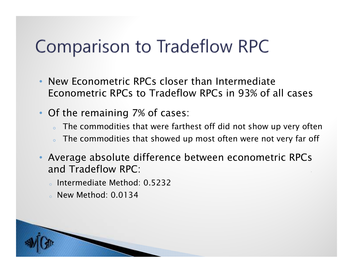## Comparison to Tradeflow RPC

- • *New Econometric RPCs closer than Intermediate Econometric RPCs to Tradeflow RPCs in 93% of all cases*
- • *Of the remaining 7% of cases:* 
	- *The commodities that were farthest off did not show up very often*
	- o*The commodities that showed up most often were not very far off*
- *Average absolute difference between econometric RPCsand Tradeflow RPC:*
	- o *Intermediate Method: 0.5232*
	- o *New Method: 0.0134*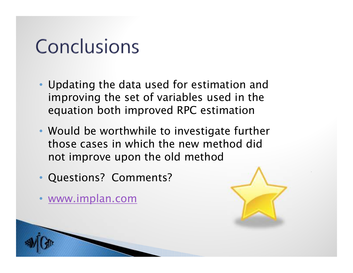## Conclusions

- *Updating the data used for estimation and improving the set of variables used in the equation both improved RPC estimation*
- *Would be worthwhile to investigate further those cases in which the new method did not improve upon the old method*
- •*Questions? Comments?*
- $\bullet$ *www.implan.com*

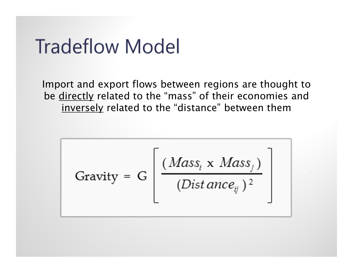## **Tradeflow Model**

*Import and export flows between regions are thought to be directly related to the "mass" of their economies and inversely related to the "distance" between them*

$$
Grawity = G \left[ \frac{(Mass_i \times Mass_j)}{(Dist\,ance_{ij})^2} \right]
$$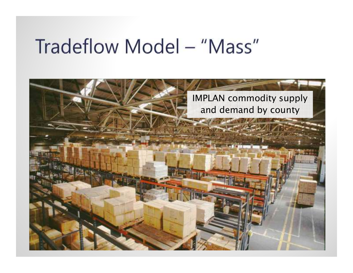## Tradeflow Model - "Mass"